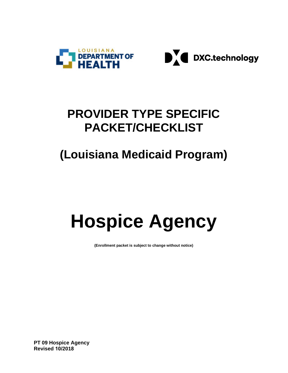



### **PROVIDER TYPE SPECIFIC PACKET/CHECKLIST**

## **(Louisiana Medicaid Program)**

# **Hospice Agency**

**(Enrollment packet is subject to change without notice)**

**PT 09 Hospice Agency Revised 10/2018**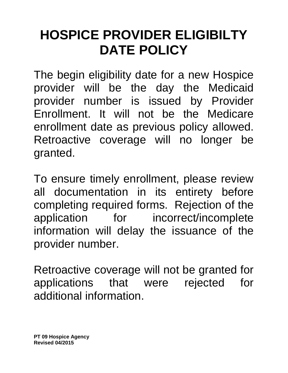## **HOSPICE PROVIDER ELIGIBILTY DATE POLICY**

The begin eligibility date for a new Hospice provider will be the day the Medicaid provider number is issued by Provider Enrollment. It will not be the Medicare enrollment date as previous policy allowed. Retroactive coverage will no longer be granted.

To ensure timely enrollment, please review all documentation in its entirety before completing required forms. Rejection of the application for incorrect/incomplete information will delay the issuance of the provider number.

Retroactive coverage will not be granted for applications that were rejected for additional information.